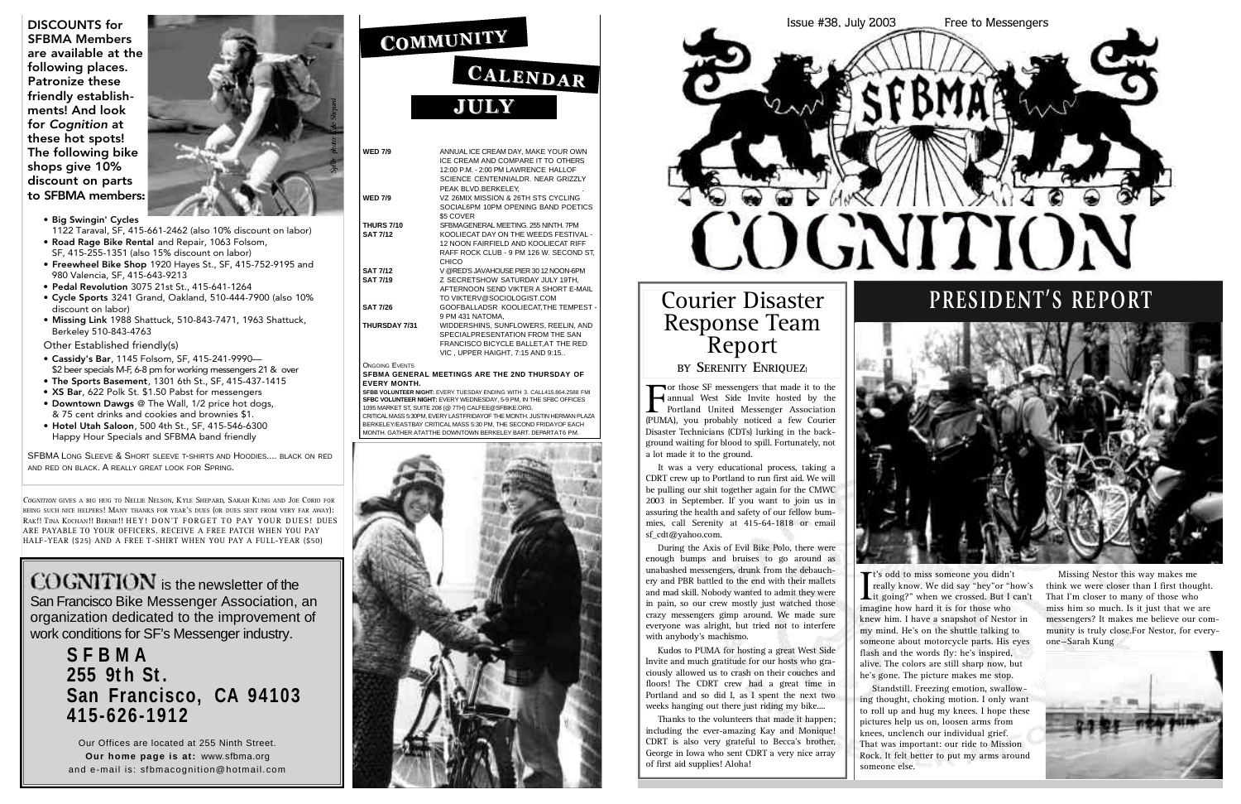*COGNITION* GIVES A BIG HUG TO NELLIE NELSON, KYLE SHEPARD, SARAH KUNG AND JOE CORIO FOR BEING SUCH NICE HELPERS! MANY THANKS FOR YEAR'S DUES (OR DUES SENT FROM VERY FAR AWAY): RAK!! TINA KOCHAN!! BERNIE!! HEY! DON'T FORGET TO PAY YOUR DUES! DUES ARE PAYABLE TO YOUR OFFICERS. RECEIVE A FREE PATCH WHEN YOU PAY HALF-YEAR (\$25) AND A FREE T-SHIRT WHEN YOU PAY A FULL-YEAR (\$50)

### **S F B M A G E N E R A L MEETINGS ARE THE 2ND THURSDAY O F EVERY MONTH.**

**SFBB VOLUNTEER NIGHT:** EVERY TUESDAY ENDING WITH 3. CALL415.864.2588 FMI **SFBC VOLUNTEER NIGHT: EVERY WEDNESDAY, 5-9 PM, IN THE SFBC OFFICES** .<br>1095 MARKET ST, SUITE 208 (@ 7TH) CALFEE@SFBIKE.ORG. CRITICAL MASS 5:30PM, EVERY LASTFRIDAYOF THE MONTH, JUSTIN HERMAN PLAZA BERKELEY/EASTBAY CRITICAL MASS 5:30 PM, THE SECOND FRIDAYOF EACH

| <b>WED 7/9</b>        | ANNUAL ICE CREAM DAY, MAKE YOUR OWN<br>ICE CREAM AND COMPARE IT TO OTHERS<br>12:00 P.M. - 2:00 PM LAWRENCE HALLOF<br>SCIENCE CENTENNIAI DR NEAR GRIZZI Y<br>PEAK BLVD.BERKELEY, |
|-----------------------|---------------------------------------------------------------------------------------------------------------------------------------------------------------------------------|
| <b>WED 7/9</b>        | VZ 26MIX MISSION & 26TH STS CYCLING<br>SOCIAL6PM 10PM OPENING BAND POETICS<br>\$5 COVER                                                                                         |
| <b>THURS 7/10</b>     | SFBMAGENERAL MEETING, 255 NINTH, 7PM                                                                                                                                            |
| <b>SAT 7/12</b>       | KOOLIECAT DAY ON THE WEEDS FESTIVAL -<br>12 NOON FAIRFIELD AND KOOLIECAT RIFF<br>RAFF ROCK CLUB - 9 PM 126 W. SECOND ST,<br>CHICO                                               |
| <b>SAT 7/12</b>       | V @RED'S JAVAHOUSE PIER 30 12 NOON-6PM                                                                                                                                          |
| <b>SAT 7/19</b>       | Z SECRETSHOW SATURDAY JULY 19TH,<br>AFTERNOON SEND VIKTER A SHORT E-MAIL<br>TO VIKTERV@SOCIOLOGIST.COM                                                                          |
| <b>SAT 7/26</b>       | GOOFBALLADSR KOOLIECAT, THE TEMPEST -<br>9 PM 431 NATOMA,                                                                                                                       |
| <b>THURSDAY 7/31</b>  | WIDDERSHINS, SUNFLOWERS, REELIN, AND<br>SPECIALPRESENTATION FROM THE SAN<br>FRANCISCO BICYCLE BALLET, AT THE RED<br>VIC, UPPER HAIGHT, 7:15 AND 9:15                            |
| <b>ONGOING EVENTS</b> |                                                                                                                                                                                 |

COGNITION is the newsletter of the San Francisco Bike Messenger Association, an organization dedicated to the improvement of work conditions for SF's Messenger industry.

DISCOUNTS for SFBMA Members are available at the following places. Patronize these friendly establishments! And look for *Cognition* at these hot spots! The following bike shops give 10% discount on parts to SFBMA members:





It's odd to miss someone you didn't really know. We did say "hey"or "<br>it going?" when we crossed. But I imagine how hard it is for those who t's odd to miss someone you didn't really know. We did say "hey"or "how's Lit going?" when we crossed. But I can't knew him. I have a snapshot of Nestor in my mind. He's on the shuttle talking to someone about motorcycle parts. His eyes flash and the words fly: he's inspired, alive. The colors are still sharp now, but he's gone. The picture makes me stop.

# **S F B M A 255 9t h St .** San Francisco, CA 94103 **4 1 5 - 6 2 6 - 1 9 1 2**

Our Offices are located at 255 Ninth Street. **Our home page is at: www.sfbma.org** and e-mail is: sfbmacognition@hotmail.com

# COMMUNITY

# CALENDAR **JULY**

For those SF messengers that made it to the<br>
Portland United Messenger Association<br>
(PUMA) you probably noticed a few Courier or those SF messengers that made it to the annual West Side Invite hosted by the (PUMA), you probably noticed a few Courier Disaster Technicians (CDTs) lurking in the background waiting for blood to spill. Fortunately, not a lot made it to the ground.

It was a very educational process, taking a CDRT crew up to Portland to run first aid. We will be pulling our shit together again for the CMWC 2003 in September. If you want to join us in assuring the health and safety of our fellow bummies, call Serenity at 415-64-1818 or email sf  $cdt@$  vahoo.com.

- Big Swingin' Cycles
- 1122 Taraval, SF, 415-661-2462 (also 10% discount on labor) • Road Rage Bike Rental and Repair, 1063 Folsom,
- SF, 415-255-1351 (also 15% discount on labor) • Freewheel Bike Shop 1920 Hayes St., SF, 415-752-9195 and
- 980 Valencia, SF, 415-643-9213
- Pedal Revolution 3075 21st St., 415-641-1264
- Cycle Sports 3241 Grand, Oakland, 510-444-7900 (also 10% discount on labor)
- Missing Link 1988 Shattuck, 510-843-7471, 1963 Shattuck, Berkeley 510-843-4763

Kudos to PUMA for hosting a great West Side Invite and much gratitude for our hosts who graciously allowed us to crash on their couches and floors! The CDRT crew had a great time in Portland and so did I, as I spent the next two weeks hanging out there just riding my bike....

Other Established friendly(s)

- Cassidy's Bar, 1145 Folsom, SF, 415-241-9990— \$2 beer specials M-F, 6-8 pm for working messengers 21 & over
- The Sports Basement, 1301 6th St., SF, 415-437-1415
- XS Bar, 622 Polk St. \$1.50 Pabst for messengers
- Downtown Dawgs @ The Wall, 1/2 price hot dogs, & 75 cent drinks and cookies and brownies \$1.
- Hotel Utah Saloon, 500 4th St., SF, 415-546-6300 Happy Hour Specials and SFBMA band friendly

SFBMA LONG SLEEVE & SHORT SLEEVE T-SHIRTS AND HOODIES.... BLACK ON RED AND RED ON BLACK. A REALLY GREAT LOOK FOR SPRING.



Standstill. Freezing emotion, swallowing thought, choking motion. I only want to roll up and hug my knees. I hope these pictures help us on, loosen arms from knees, unclench our individual grief. That was important: our ride to Mission Rock. It felt better to put my arms around

someone else.

Missing Nestor this way makes me think we were closer than I first thought. That I'm closer to many of those who miss him so much. Is it just that we are messengers? It makes me believe our community is truly close.For Nestor, for everyone—Sarah Kung



# **PRESIDENT'S REPORT**



During the Axis of Evil Bike Polo, there were enough bumps and bruises to go around as unabashed messengers, drunk from the debauchery and PBR battled to the end with their mallets and mad skill. Nobody wanted to admit they were in pain, so our crew mostly just watched those crazy messengers gimp around. We made sure everyone was alright, but tried not to interfere with anybody's machismo.

Thanks to the volunteers that made it happen; including the ever-amazing Kay and Monique! CDRT is also very grateful to Becca's brother, George in Iowa who sent CDRT a very nice array of first aid supplies! Aloha!

# Courier Disaster Response Team Report **BY SERENITY ENRIQUEZ**)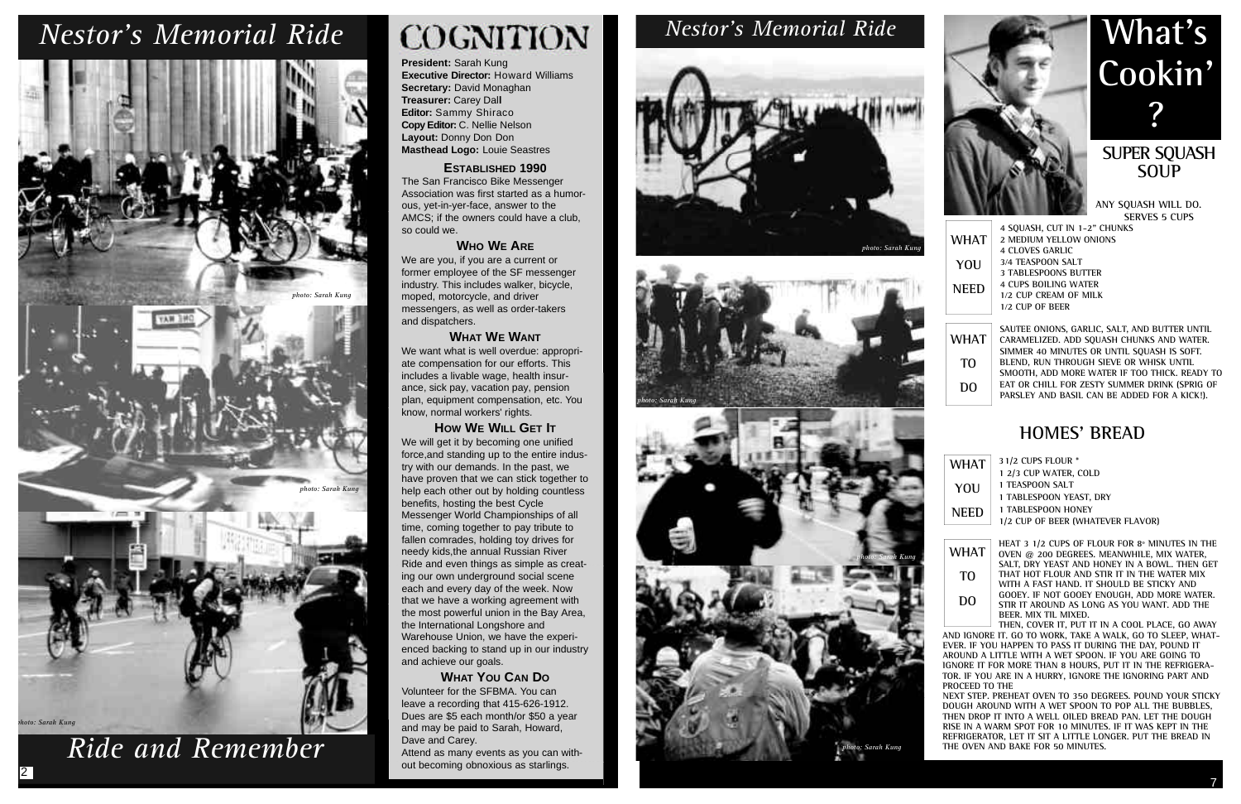**President:** Sarah Kung **Executive Director: Howard Williams Secretary:** David Monaghan **Treasurer:** Carey Dal**l Editor:** Sammy Shiraco **Copy Editor:** C. Nellie Nelson **Layout:** Donny Don Don **Masthead Logo:** Louie Seastres

### **ESTABLISHED 1990**

The San Francisco Bike Messenger Association was first started as a humorous, yet-in-yer-face, answer to the AMCS; if the owners could have a club, so could we.

### **WHO WE ARE**

We are you, if you are a current or former employee of the SF messenger industry. This includes walker, bicycle, moped, motorcycle, and driver messengers, as well as order-takers and dispatchers.

### **WHAT WE WANT**

We want what is well overdue: appropriate compensation for our efforts. This includes a livable wage, health insurance, sick pay, vacation pay, pension plan, equipment compensation, etc. You know, normal workers' rights.

### **HOW WE WILL GET IT**

We will get it by becoming one unified force,and standing up to the entire industry with our demands. In the past, we have proven that we can stick together to help each other out by holding countless benefits, hosting the best Cycle Messenger World Championships of all time, coming together to pay tribute to fallen comrades, holding toy drives for needy kids,the annual Russian River Ride and even things as simple as creating our own underground social scene each and every day of the week. Now that we have a working agreement with the most powerful union in the Bay Area, the International Longshore and Warehouse Union, we have the experienced backing to stand up in our industry and achieve our goals.

### **WHAT YOU CAN DO**

Volunteer for the SFBMA. You can leave a recording that 415-626-1912. Dues are \$5 each month/or \$50 a year and may be paid to Sarah, Howard, Dave and Carey.

Attend as many events as you can without becoming obnoxious as starlings.

### **SUPER SQUASH SOUP**

**ANY SQUASH WILL DO. SERVES 5 CUPS** 

**SAUTEE ONIONS, GARLIC, SALT, AND BUTTER UNTIL CARAMELIZED. ADD SQUASH CHUNKS AND WATER. SIMMER 40 MINUTES OR UNTIL SQUASH IS SOFT. BLEND, RUN THROUGH SIEVE OR WHISK UNTIL SMOOTH, ADD MORE WATER IF TOO THICK. READY TO EAT OR CHILL FOR ZESTY SUMMER DRINK (SPRIG OF PARSLEY AND BASIL CAN BE ADDED FOR A KICK!).**

### **HOMES' BREAD**

**31/2 CUPS FLOUR \***

- **1 2/3 CUP WATER, COLD**
- **1 TEASPOON SALT**
- **1 TABLESPOON YEAST, DRY**
- **1 TABLESPOON HONEY**
- **1/2 CUP OF BEER (WHATEVER FLAVOR)**

**HEAT 3 1/2 CUPS OF FLOUR FOR 8º MINUTES IN THE OVEN @ 200 DEGREES. MEANWHILE, MIX WATER, SALT, DRY YEAST AND HONEY IN A BOWL. THEN GET THAT HOT FLOUR AND STIR IT IN THE WATER MIX WITH A FAST HAND. IT SHOULD BE STICKY AND GOOEY. IF NOT GOOEY ENOUGH, ADD MORE WATER. STIR IT AROUND AS LONG AS YOU WANT. ADD THE BEER. MIX TIL MIXED.**

|             | 4 SOUASH, CUT IN 1-2" CHUNKS |
|-------------|------------------------------|
| WHAT        | 2 MEDIUM YELLOW ONIONS       |
|             | <b>4 CLOVES GARLIC</b>       |
| YOU         | 3/4 TEASPOON SALT            |
|             | <b>3 TABLESPOONS BUTTER</b>  |
| <b>NEED</b> | <b>4 CUPS BOILING WATER</b>  |
|             | 1/2 CUP CREAM OF MILK        |
|             | 1/2 CUP OF BEER              |
|             |                              |

**THEN, COVER IT, PUT IT IN A COOL PLACE, GO AWAY AND IGNORE IT. GO TO WORK, TAKE A WALK, GO TO SLEEP, WHAT-EVER. IF YOU HAPPEN TO PASS IT DURING THE DAY, POUND IT AROUND A LITTLE WITH A WET SPOON. IF YOU ARE GOING TO IGNORE IT FOR MORE THAN 8 HOURS, PUT IT IN THE REFRIGERA-TOR. IF YOU ARE IN A HURRY, IGNORE THE IGNORING PART AND PROCEED TO THE**

**NEXT STEP. PREHEAT OVEN TO 350 DEGREES. POUND YOUR STICKY DOUGH AROUND WITH A WET SPOON TO POP ALL THE BUBBLES, THEN DROP IT INTO A WELL OILED BREAD PAN. LET THE DOUGH RISE IN A WARM SPOT FOR 10 MINUTES. IF IT WAS KEPT IN THE REFRIGERATOR, LET IT SIT A LITTLE LONGER. PUT THE BREAD IN THE OVEN AND BAKE FOR 50 MINUTES.**



| WHAT        |
|-------------|
| YOU         |
| NEED        |
|             |
| <b>WHAT</b> |



**TO**

**DO**

*Ride and Remember* 

2



# *Nestor's Memorial Ride Nestor's Memorial Ride*







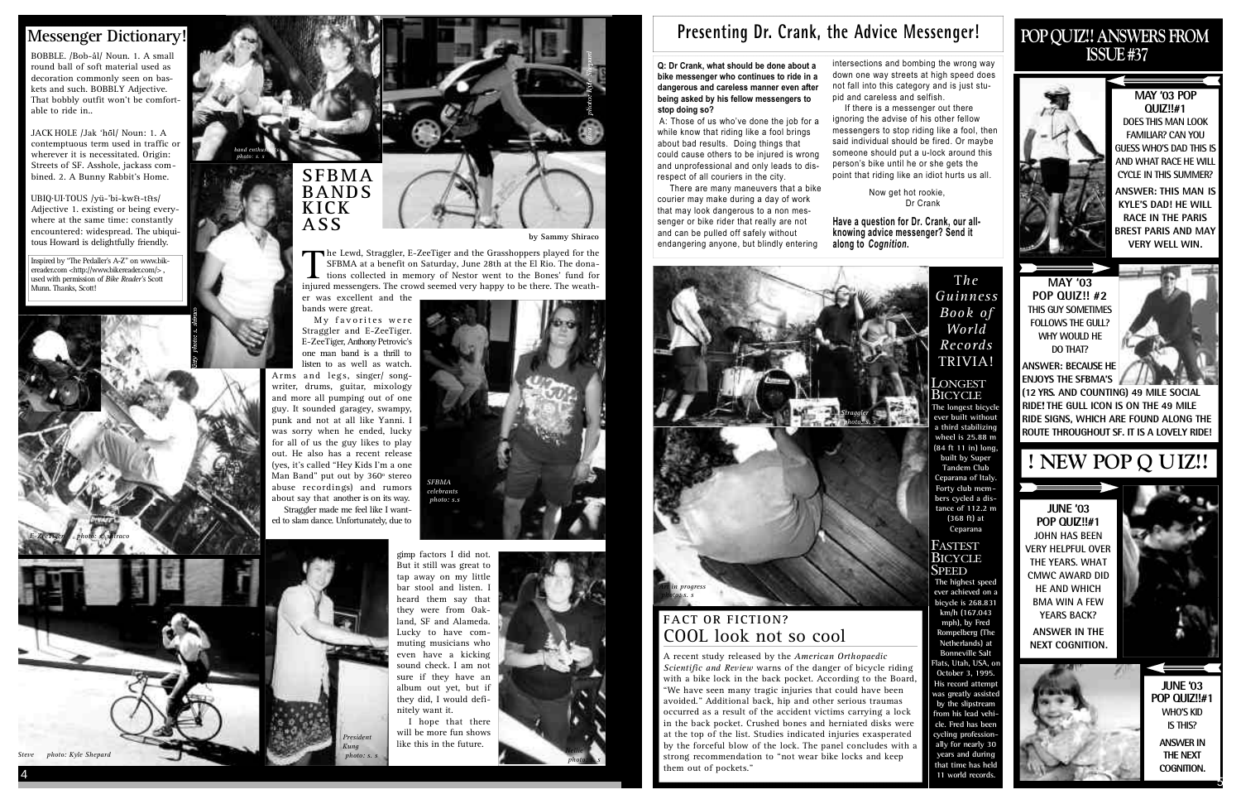# **POP QUIZ!! ANSWERS FROM ISSUE #37**



### **MAY '03 POP Q U I Z ! ! # 1**

**DOES THIS MAN LOOK FAMILIAR? CAN YOU GUESS WHO'S DAD THIS IS AND WHAT RACE HE WILL CYCLE IN THIS SUMMER?**

> **JUNE '03 POP QUIZ!!#1 WHO'S KID IS THIS? ANSWER IN THE NEXT COGNITION.**



**ANSWER: THIS MAN IS KYLE'S DAD! HE WILL RACE IN THE PARIS BREST PARIS AND MAY VERY WELL WIN.**

**MAY '03 POP QUIZ!! #2 THIS GUY SOMETIMES FOLLOWS THE GULL? WHY WOULD HE DO THAT?** 

**JUNE '03 POP QUIZ!!#1 JOHN HAS BEEN VERY HELPFUL OVER THE YEARS. WHAT CMWC AWARD DID HE AND WHICH BMA WIN A FEW YEARS BACK?** 

**ANSWER: BECAUSE HE ENJOYS THE SFBMA'S**

**ANSWER IN THE NEXT COGNITION.**



# **! NEW POP Q UIZ!!**

UBIO·UI·TOUS /vü-'bi-kw&-t&s/ Adjective 1. existing or being everywhere at the same time: constantly encountered: widespread. The ubiquitous Howard is delightfully friendly.

> **(12 YRS. AND COUNTING) 49 MILE SOCIAL RIDE! THE GULL ICON IS ON THE 49 MILE RIDE SIGNS, WHICH ARE FOUND ALONG THE ROUTE THROUGHOUT SF. IT IS A LOVELY RIDE!**

Inspired by "The Pedaller's A-Z" on www.bikereader.com <http://www.bikereader.com/>, used with permission of *Bike Reader's* Scott Munn. Thanks, Scott!

BOBBLE. /Bob-ål/ Noun. 1. A small round ball of soft material used as decoration commonly seen on baskets and such. BOBBLY Adjective. That bobbly outfit won't be comfortable to ride in..

> while know that riding like a fool brings about bad results. Doing things that could cause others to be injured is wrong and unprofessional and only leads to disrespect of all couriers in the city.

JACK HOLE /Jak 'hol/ Noun: 1. A contemptuous term used in traffic or wherever it is necessitated. Origin: Streets of SF. Asshole, jackass combined. 2. A Bunny Rabbit's Home.

> **Have a question for Dr. Crank, our allknowing advice messenger? Send it** along to *Cognition*.

### **Messenger Dictionary!**

T*h e G u i n n e s s Book of Wo r l d R e c o r d s* TRIVIA!

LONGEST Bicycle **The longest bicycl ever built without a third stabilizing wheel is 25.88 m (84 ft 11 in) long, built by Super Tandem Club Ceparana of Italy. Forty club members cycled a distance of 112.2 m (368 ft) at Ceparana** 

### **FASTEST BICYCLE SPEED**

**The highest speed ever achieved on a bicycle is 268.831 km/h (167.043** mph), by Fred **Rompelberg** (The **Netherlands) at Bonneville Salt Flats, Utah, USA, on October 3, 1995. His record attemp** was greatly assiste by the slipstream from his lead vehi**cle. Fred has been** cycling profession **ally for nearly 30 years** and during that time has held 11 world records

**Q: Dr Crank, what should be done about a**



The Lewd, Straggler, E-ZeeTiger and the Grasshoppers played for the<br>SFBMA at a benefit on Saturday, June 28th at the El Rio. The dona-<br>tions collected in memory of Nestor went to the Bones' fund for<br>injured messengers. The The Lewd, Straggler, E-ZeeTiger and the Grasshoppers played for the SFBMA at a benefit on Saturday, June 28th at the El Rio. The donainjured messengers. The crowd seemed very happy to be there. The weather was excellent and the

There are many maneuvers that a bike courier may make during a day of work that may look dangerous to a non messenger or bike rider that really are not and can be pulled off safely without endangering anyone, but blindly entering

intersections and bombing the wrong way down one way streets at high speed does not fall into this category and is just stupid and careless and selfish. If there is a messenger out there

will be more fun shows like this in the future. *photo: s. s Nellie news are the set of the set of the set of the set of the set of the set of the set of the set of the set of the set of the set of the set of the set of the set of the set of the set of the set of* 

### **FACT OR FICTION?** COOL look not so cool

ignoring the advise of his other fellow messengers to stop riding like a fool, then said individual should be fired. Or maybe someone should put a u-lock around this person's bike until he or she gets the point that riding like an idiot hurts us all.

> Now get hot rookie, Dr Crank

**S F B M A BA N D S K I C K**

**ASS** 

**by Sammy Shiraco**

bands were great. My favorites were Straggler and E-ZeeTiger. E-ZeeTiger, Anthony Petrovic's one man band is a thrill to listen to as well as watch. Arms and legs, singer/ songwriter, drums, guitar, mixology and more all pumping out of one guy. It sounded garagey, swampy, punk and not at all like Yanni. I was sorry when he ended, lucky for all of us the guy likes to play out. He also has a recent release (yes, it's called "Hey Kids I'm a one Man Band" put out by 360º stereo abuse recordings) and rumors about say that another is on its way.

Straggler made me feel like I wanted to slam dance. Unfortunately, due to



A recent study released by the *American Orthopaedic Scientific and Review* warns of the danger of bicycle riding with a bike lock in the back pocket. According to the Board, " We have seen many tragic injuries that could have been avoided." Additional back, hip and other serious traumas occurred as a result of the accident victims carrying a lock in the back pocket. Crushed bones and herniated disks were at the top of the list. Studies indicated injuries exasperated by the forceful blow of the lock. The panel concludes with a strong recommendation to "not wear bike locks and keep them out of pockets."

*Steve photo: Kyle Shepard*

# Presenting Dr. Crank, the Advice Messenger!

*E-ZeeTiger photo: s. shiraco*



*photo: s. s*



*SFBMA celebrants photo: s.s*

*band enthusiasts photo: s. s*